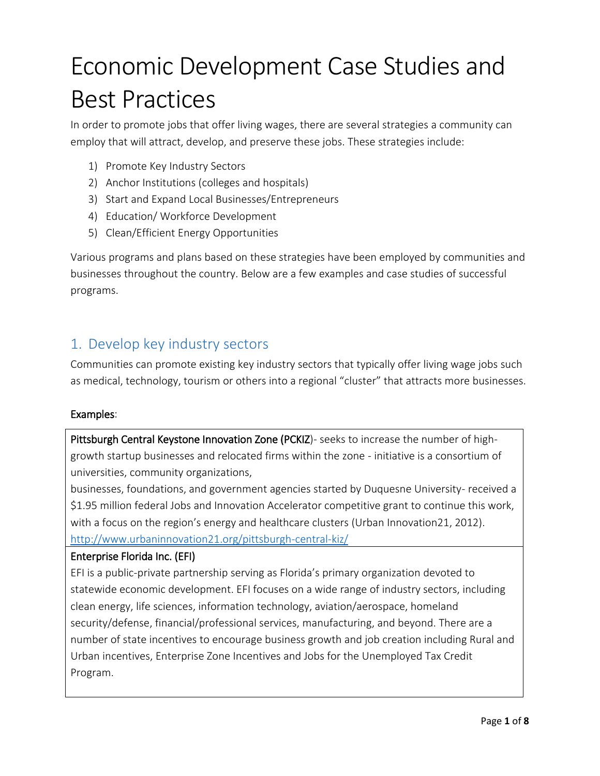# Economic Development Case Studies and Best Practices

In order to promote jobs that offer living wages, there are several strategies a community can employ that will attract, develop, and preserve these jobs. These strategies include:

- 1) Promote Key Industry Sectors
- 2) Anchor Institutions (colleges and hospitals)
- 3) Start and Expand Local Businesses/Entrepreneurs
- 4) Education/ Workforce Development
- 5) Clean/Efficient Energy Opportunities

Various programs and plans based on these strategies have been employed by communities and businesses throughout the country. Below are a few examples and case studies of successful programs.

## 1. Develop key industry sectors

Communities can promote existing key industry sectors that typically offer living wage jobs such as medical, technology, tourism or others into a regional "cluster" that attracts more businesses.

#### Examples:

Pittsburgh Central Keystone Innovation Zone (PCKIZ)- seeks to increase the number of highgrowth startup businesses and relocated firms within the zone - initiative is a consortium of universities, community organizations,

businesses, foundations, and government agencies started by Duquesne University- received a \$1.95 million federal Jobs and Innovation Accelerator competitive grant to continue this work, with a focus on the region's energy and healthcare clusters (Urban Innovation21, 2012). <http://www.urbaninnovation21.org/pittsburgh-central-kiz/>

#### [Enterprise Florida Inc. \(EFI\)](http://www.eflorida.com/ContentSubpage.aspx?id=472)

EFI is a public-private partnership serving as Florida's primary organization devoted to statewide economic development. EFI focuses on a wide range of industry sectors, including clean energy, life sciences, information technology, aviation/aerospace, homeland security/defense, financial/professional services, manufacturing, and beyond. There are a number of state incentives to encourage business growth and job creation including Rural and Urban incentives, Enterprise Zone Incentives and Jobs for the Unemployed Tax Credit Program.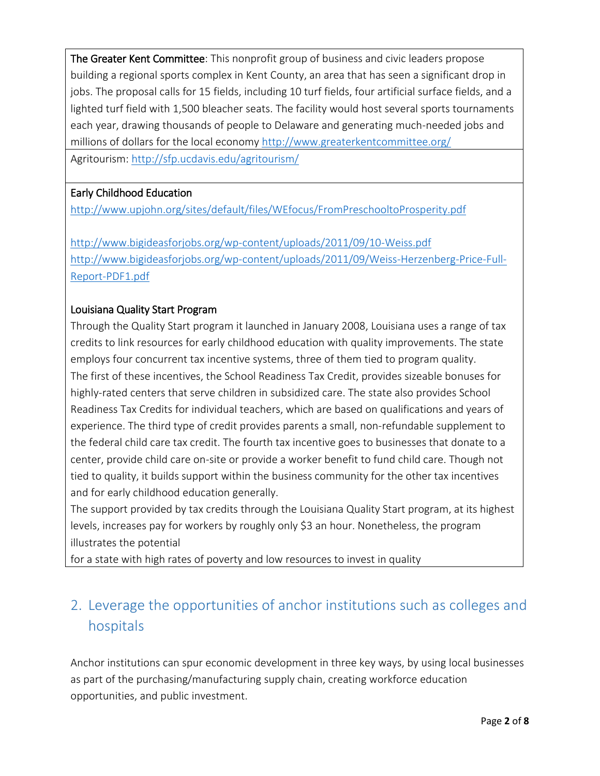[The Greater Kent Committee:](http://www.delawarefirst.org/14490-proposed-kent-county-sports-complex-aims-share-youth-sports-market/) This nonprofit group of business and civic leaders propose building a regional sports complex in Kent County, an area that has seen a significant drop in jobs. The proposal calls for 15 fields, including 10 turf fields, four artificial surface fields, and a lighted turf field with 1,500 bleacher seats. The facility would host several sports tournaments each year, drawing thousands of people to Delaware and generating much-needed jobs and millions of dollars for the local economy <http://www.greaterkentcommittee.org/> Agritourism:<http://sfp.ucdavis.edu/agritourism/>

#### Early Childhood Education

<http://www.upjohn.org/sites/default/files/WEfocus/FromPreschooltoProsperity.pdf>

<http://www.bigideasforjobs.org/wp-content/uploads/2011/09/10-Weiss.pdf> [http://www.bigideasforjobs.org/wp-content/uploads/2011/09/Weiss-Herzenberg-Price-Full-](http://www.bigideasforjobs.org/wp-content/uploads/2011/09/Weiss-Herzenberg-Price-Full-Report-PDF1.pdf)[Report-PDF1.pdf](http://www.bigideasforjobs.org/wp-content/uploads/2011/09/Weiss-Herzenberg-Price-Full-Report-PDF1.pdf)

#### Louisiana Quality Start Program

Through the Quality Start program it launched in January 2008, Louisiana uses a range of tax credits to link resources for early childhood education with quality improvements. The state employs four concurrent tax incentive systems, three of them tied to program quality. The first of these incentives, the School Readiness Tax Credit, provides sizeable bonuses for highly-rated centers that serve children in subsidized care. The state also provides School Readiness Tax Credits for individual teachers, which are based on qualifications and years of experience. The third type of credit provides parents a small, non-refundable supplement to the federal child care tax credit. The fourth tax incentive goes to businesses that donate to a center, provide child care on-site or provide a worker benefit to fund child care. Though not tied to quality, it builds support within the business community for the other tax incentives and for early childhood education generally.

The support provided by tax credits through the Louisiana Quality Start program, at its highest levels, increases pay for workers by roughly only \$3 an hour. Nonetheless, the program illustrates the potential

for a state with high rates of poverty and low resources to invest in quality

# 2. Leverage the opportunities of anchor institutions such as colleges and hospitals

Anchor institutions can spur economic development in three key ways, by using local businesses as part of the purchasing/manufacturing supply chain, creating workforce education opportunities, and public investment.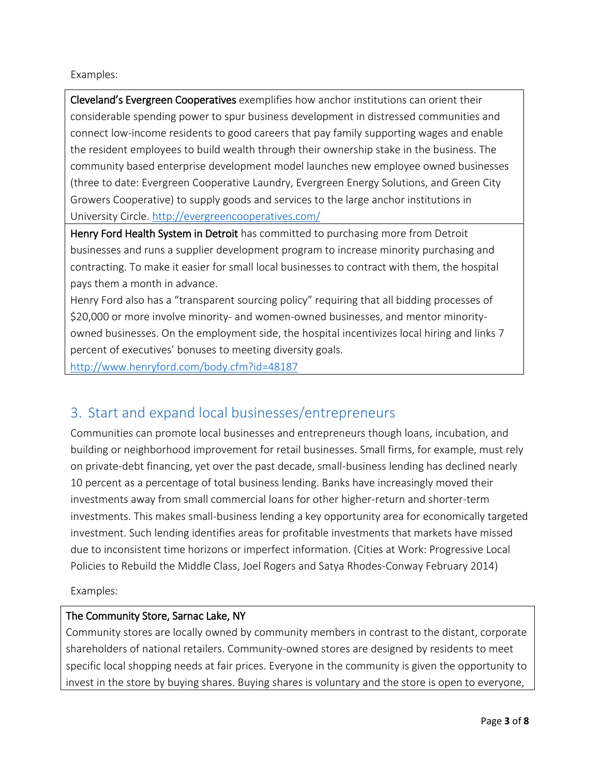#### Examples:

Cleveland's Evergreen Cooperatives exemplifies how anchor institutions can orient their considerable spending power to spur business development in distressed communities and connect low-income residents to good careers that pay family supporting wages and enable the resident employees to build wealth through their ownership stake in the business. The community based enterprise development model launches new employee owned businesses (three to date: Evergreen Cooperative Laundry, Evergreen Energy Solutions, and Green City Growers Cooperative) to supply goods and services to the large anchor institutions in University Circle. <http://evergreencooperatives.com/>

Henry Ford Health System in Detroit has committed to purchasing more from Detroit businesses and runs a supplier development program to increase minority purchasing and contracting. To make it easier for small local businesses to contract with them, the hospital pays them a month in advance.

Henry Ford also has a "transparent sourcing policy" requiring that all bidding processes of \$20,000 or more involve minority- and women-owned businesses, and mentor minorityowned businesses. On the employment side, the hospital incentivizes local hiring and links 7 percent of executives' bonuses to meeting diversity goals.

<http://www.henryford.com/body.cfm?id=48187>

## 3. Start and expand local businesses/entrepreneurs

Communities can promote local businesses and entrepreneurs though loans, incubation, and building or neighborhood improvement for retail businesses. Small firms, for example, must rely on private-debt financing, yet over the past decade, small-business lending has declined nearly 10 percent as a percentage of total business lending. Banks have increasingly moved their investments away from small commercial loans for other higher-return and shorter-term investments. This makes small-business lending a key opportunity area for economically targeted investment. Such lending identifies areas for profitable investments that markets have missed due to inconsistent time horizons or imperfect information. (Cities at Work: Progressive Local Policies to Rebuild the Middle Class, Joel Rogers and Satya Rhodes-Conway February 2014)

Examples:

#### The Community Store, Sarnac Lake, NY

Community stores are locally owned by community members in contrast to the distant, corporate shareholders of national retailers. Community-owned stores are designed by residents to meet specific local shopping needs at fair prices. Everyone in the community is given the opportunity to invest in the store by buying shares. Buying shares is voluntary and the store is open to everyone,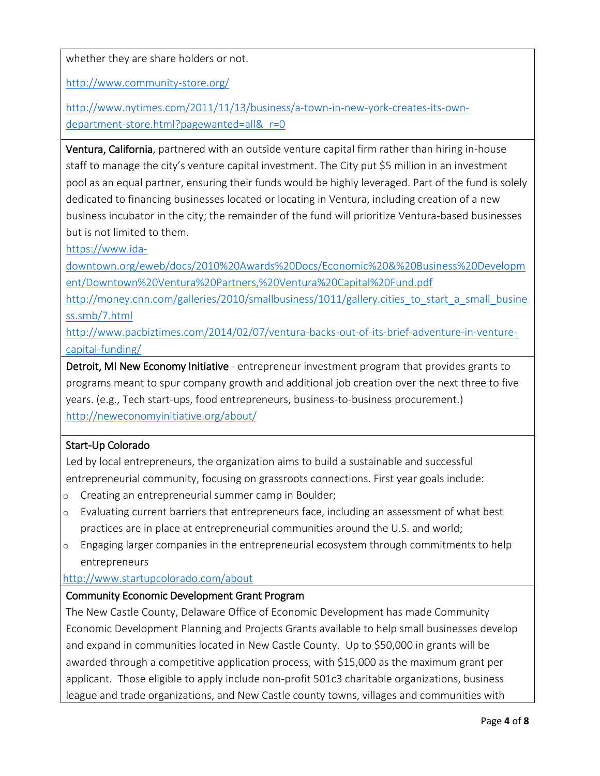whether they are share holders or not.

<http://www.community-store.org/>

[http://www.nytimes.com/2011/11/13/business/a-town-in-new-york-creates-its-own](http://www.nytimes.com/2011/11/13/business/a-town-in-new-york-creates-its-own-department-store.html?pagewanted=all&_r=0)department-store.html?pagewanted=all&r=0

Ventura, California, partnered with an outside venture capital firm rather than hiring in-house staff to manage the city's venture capital investment. The City put \$5 million in an investment pool as an equal partner, ensuring their funds would be highly leveraged. Part of the fund is solely dedicated to financing businesses located or locating in Ventura, including creation of a new business incubator in the city; the remainder of the fund will prioritize Ventura-based businesses but is not limited to them.

[https://www.ida-](https://www.ida-downtown.org/eweb/docs/2010%20Awards%20Docs/Economic%20&%20Business%20Development/Downtown%20Ventura%20Partners,%20Ventura%20Capital%20Fund.pdf)

[downtown.org/eweb/docs/2010%20Awards%20Docs/Economic%20&%20Business%20Developm](https://www.ida-downtown.org/eweb/docs/2010%20Awards%20Docs/Economic%20&%20Business%20Development/Downtown%20Ventura%20Partners,%20Ventura%20Capital%20Fund.pdf) [ent/Downtown%20Ventura%20Partners,%20Ventura%20Capital%20Fund.pdf](https://www.ida-downtown.org/eweb/docs/2010%20Awards%20Docs/Economic%20&%20Business%20Development/Downtown%20Ventura%20Partners,%20Ventura%20Capital%20Fund.pdf)

[http://money.cnn.com/galleries/2010/smallbusiness/1011/gallery.cities\\_to\\_start\\_a\\_small\\_busine](http://money.cnn.com/galleries/2010/smallbusiness/1011/gallery.cities_to_start_a_small_business.smb/7.html) [ss.smb/7.html](http://money.cnn.com/galleries/2010/smallbusiness/1011/gallery.cities_to_start_a_small_business.smb/7.html)

[http://www.pacbiztimes.com/2014/02/07/ventura-backs-out-of-its-brief-adventure-in-venture](http://www.pacbiztimes.com/2014/02/07/ventura-backs-out-of-its-brief-adventure-in-venture-capital-funding/)[capital-funding/](http://www.pacbiztimes.com/2014/02/07/ventura-backs-out-of-its-brief-adventure-in-venture-capital-funding/)

Detroit, MI New Economy Initiative - entrepreneur investment program that provides grants to programs meant to spur company growth and additional job creation over the next three to five years. (e.g., Tech start-ups, food entrepreneurs, business-to-business procurement.) <http://neweconomyinitiative.org/about/>

#### [Start-Up Colorado](http://co.s.co/)

Led by local entrepreneurs, the organization aims to build a sustainable and successful entrepreneurial community, focusing on grassroots connections. First year goals include:

- o Creating an entrepreneurial summer camp in Boulder;
- o Evaluating current barriers that entrepreneurs face, including an assessment of what best practices are in place at entrepreneurial communities around the U.S. and world;
- $\circ$  Engaging larger companies in the entrepreneurial ecosystem through commitments to help entrepreneurs

#### <http://www.startupcolorado.com/about>

#### [Community Economic Development Grant Program](http://www2.nccde.org/development/CommunityGrants/default.aspx)

The New Castle County, Delaware Office of Economic Development has made Community Economic Development Planning and Projects Grants available to help small businesses develop and expand in communities located in New Castle County. Up to \$50,000 in grants will be awarded through a competitive application process, with \$15,000 as the maximum grant per applicant. Those eligible to apply include non-profit 501c3 charitable organizations, business league and trade organizations, and New Castle county towns, villages and communities with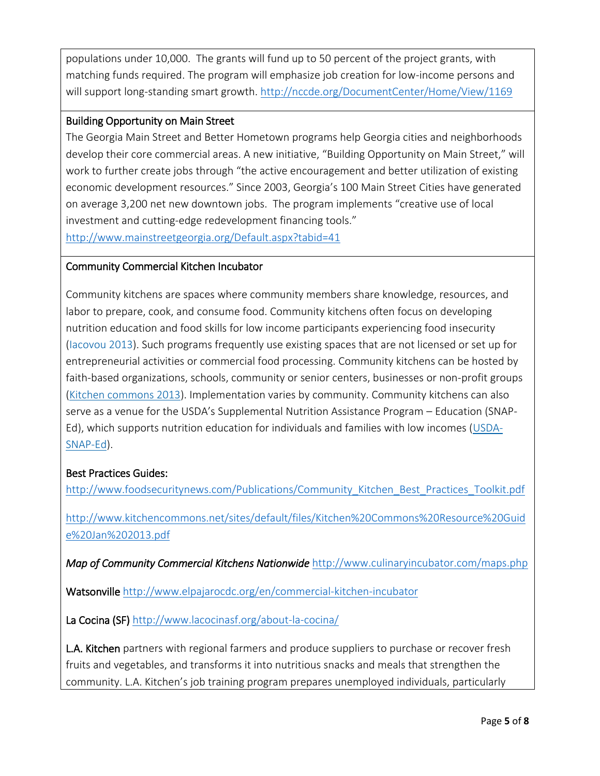populations under 10,000. The grants will fund up to 50 percent of the project grants, with matching funds required. The program will emphasize job creation for low-income persons and will support long-standing smart growth. <http://nccde.org/DocumentCenter/Home/View/1169>

#### [Building Opportunity on Main Street](http://www.boomtowngeorgia.org/)

The Georgia Main Street and Better Hometown programs help Georgia cities and neighborhoods develop their core commercial areas. A new initiative, "Building Opportunity on Main Street," will work to further create jobs through "the active encouragement and better utilization of existing economic development resources." Since 2003, Georgia's 100 Main Street Cities have generated on average 3,200 net new downtown jobs. The program implements "creative use of local investment and cutting-edge redevelopment financing tools."

<http://www.mainstreetgeorgia.org/Default.aspx?tabid=41>

#### Community Commercial Kitchen Incubator

Community kitchens are spaces where community members share knowledge, resources, and labor to prepare, cook, and consume food. Community kitchens often focus on developing nutrition education and food skills for low income participants experiencing food insecurity (Iacovou 2013). Such programs frequently use existing spaces that are not licensed or set up for entrepreneurial activities or commercial food processing. Community kitchens can be hosted by faith-based organizations, schools, community or senior centers, businesses or non-profit groups [\(Kitchen commons 2013\)](http://www.kitchencommons.net/sites/default/files/Kitchen%20Commons%20Resource%20Guide%20Jan%202013.pdf). Implementation varies by community. Community kitchens can also serve as a venue for the USDA's Supplemental Nutrition Assistance Program – Education (SNAP-Ed), which supports nutrition education for individuals and families with low incomes [\(USDA-](http://www.nifa.usda.gov/nea/food/fsne/fsne.html)[SNAP-Ed\)](http://www.nifa.usda.gov/nea/food/fsne/fsne.html).

#### Best Practices Guides:

http://www.foodsecuritynews.com/Publications/Community Kitchen Best Practices Toolkit.pdf

[http://www.kitchencommons.net/sites/default/files/Kitchen%20Commons%20Resource%20Guid](http://www.kitchencommons.net/sites/default/files/Kitchen%20Commons%20Resource%20Guide%20Jan%202013.pdf) [e%20Jan%202013.pdf](http://www.kitchencommons.net/sites/default/files/Kitchen%20Commons%20Resource%20Guide%20Jan%202013.pdf)

*Map of Community Commercial Kitchens Nationwide* <http://www.culinaryincubator.com/maps.php>

Watsonville <http://www.elpajarocdc.org/en/commercial-kitchen-incubator>

La Cocina (SF) <http://www.lacocinasf.org/about-la-cocina/>

L.A. Kitchen partners with regional farmers and produce suppliers to purchase or recover fresh fruits and vegetables, and transforms it into nutritious snacks and meals that strengthen the community. L.A. Kitchen's job training program prepares unemployed individuals, particularly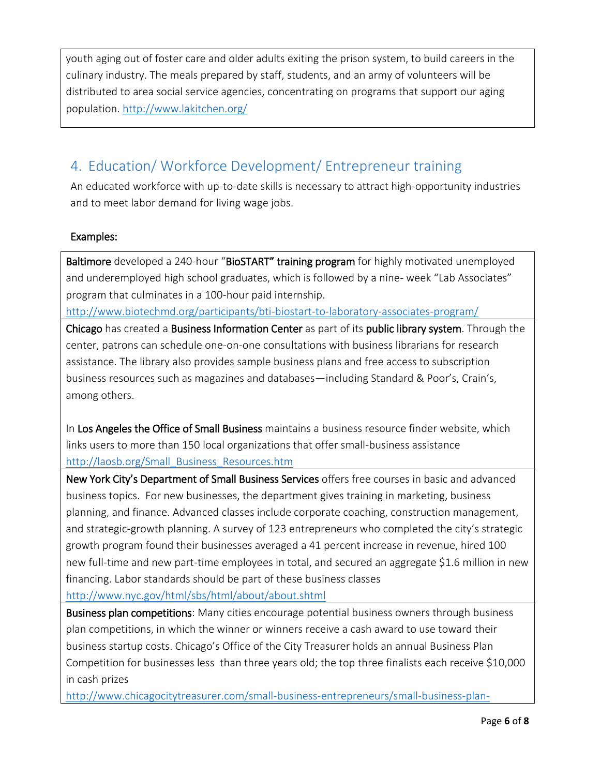youth aging out of foster care and older adults exiting the prison system, to build careers in the culinary industry. The meals prepared by staff, students, and an army of volunteers will be distributed to area social service agencies, concentrating on programs that support our aging population. <http://www.lakitchen.org/>

# 4. Education/ Workforce Development/ Entrepreneur training

An educated workforce with up-to-date skills is necessary to attract high-opportunity industries and to meet labor demand for living wage jobs.

#### Examples:

Baltimore developed a 240-hour "BioSTART" training program for highly motivated unemployed and underemployed high school graduates, which is followed by a nine- week "Lab Associates" program that culminates in a 100-hour paid internship.

<http://www.biotechmd.org/participants/bti-biostart-to-laboratory-associates-program/>

Chicago has created a Business Information Center as part of its public library system. Through the center, patrons can schedule one-on-one consultations with business librarians for research assistance. The library also provides sample business plans and free access to subscription business resources such as magazines and databases—including Standard & Poor's, Crain's, among others.

In Los Angeles the Office of Small Business maintains a business resource finder website, which links users to more than 150 local organizations that offer small-business assistance [http://laosb.org/Small\\_Business\\_Resources.htm](http://laosb.org/Small_Business_Resources.htm)

New York City's Department of Small Business Services offers free courses in basic and advanced business topics. For new businesses, the department gives training in marketing, business planning, and finance. Advanced classes include corporate coaching, construction management, and strategic-growth planning. A survey of 123 entrepreneurs who completed the city's strategic growth program found their businesses averaged a 41 percent increase in revenue, hired 100 new full-time and new part-time employees in total, and secured an aggregate \$1.6 million in new financing. Labor standards should be part of these business classes

<http://www.nyc.gov/html/sbs/html/about/about.shtml>

Business plan competitions: Many cities encourage potential business owners through business plan competitions, in which the winner or winners receive a cash award to use toward their business startup costs. Chicago's Office of the City Treasurer holds an annual Business Plan Competition for businesses less than three years old; the top three finalists each receive \$10,000 in cash prizes

[http://www.chicagocitytreasurer.com/small-business-entrepreneurs/small-business-plan-](http://www.chicagocitytreasurer.com/small-business-entrepreneurs/small-business-plan-competition/)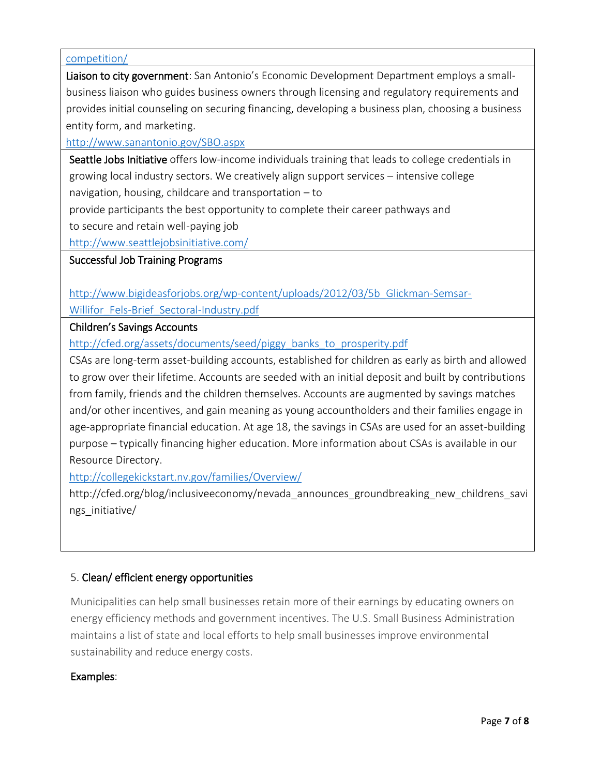#### [competition/](http://www.chicagocitytreasurer.com/small-business-entrepreneurs/small-business-plan-competition/)

Liaison to city government: San Antonio's Economic Development Department employs a smallbusiness liaison who guides business owners through licensing and regulatory requirements and provides initial counseling on securing financing, developing a business plan, choosing a business entity form, and marketing.

<http://www.sanantonio.gov/SBO.aspx>

Seattle Jobs Initiative offers low-income individuals training that leads to college credentials in growing local industry sectors. We creatively align support services – intensive college navigation, housing, childcare and transportation – to

provide participants the best opportunity to complete their career pathways and

to secure and retain well-paying job

<http://www.seattlejobsinitiative.com/>

#### Successful Job Training Programs

[http://www.bigideasforjobs.org/wp-content/uploads/2012/03/5b\\_Glickman-Semsar-](http://www.bigideasforjobs.org/wp-content/uploads/2012/03/5b_Glickman-Semsar-Willifor_Fels-Brief_Sectoral-Industry.pdf)

Willifor Fels-Brief Sectoral-Industry.pdf

#### Children's Savings Accounts

[http://cfed.org/assets/documents/seed/piggy\\_banks\\_to\\_prosperity.pdf](http://cfed.org/assets/documents/seed/piggy_banks_to_prosperity.pdf)

CSAs are long-term asset-building accounts, established for children as early as birth and allowed to grow over their lifetime. Accounts are seeded with an initial deposit and built by contributions from family, friends and the children themselves. Accounts are augmented by savings matches and/or other incentives, and gain meaning as young accountholders and their families engage in age-appropriate financial education. At age 18, the savings in CSAs are used for an asset-building purpose – typically financing higher education. More information about CSAs is available in our Resource Directory.

<http://collegekickstart.nv.gov/families/Overview/>

http://cfed.org/blog/inclusiveeconomy/nevada\_announces\_groundbreaking\_new\_childrens\_savi ngs\_initiative/

#### 5. Clean/ efficient energy opportunities

Municipalities can help small businesses retain more of their earnings by educating owners on energy efficiency methods and government incentives. The U.S. Small Business Administration maintains a list of state and local efforts to help small businesses improve environmental sustainability and reduce energy costs.

#### Examples: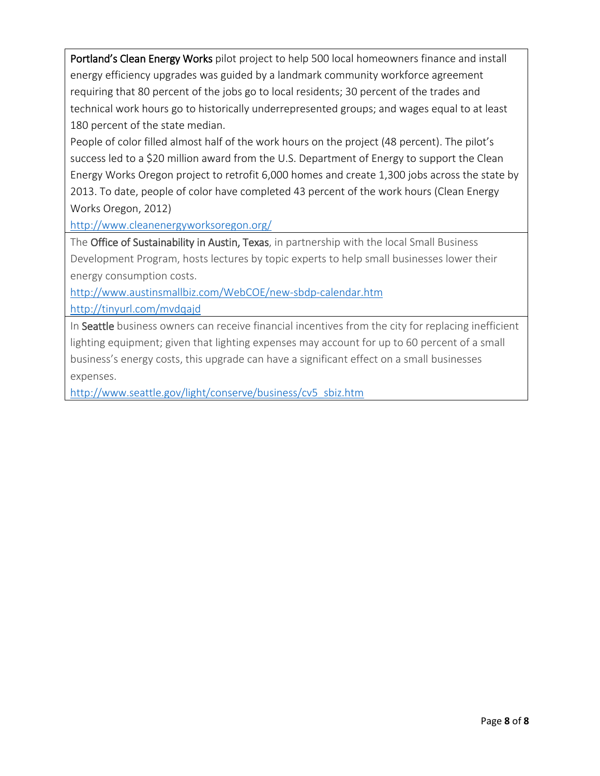Portland's Clean Energy Works pilot project to help 500 local homeowners finance and install energy efficiency upgrades was guided by a landmark community workforce agreement requiring that 80 percent of the jobs go to local residents; 30 percent of the trades and technical work hours go to historically underrepresented groups; and wages equal to at least 180 percent of the state median.

People of color filled almost half of the work hours on the project (48 percent). The pilot's success led to a \$20 million award from the U.S. Department of Energy to support the Clean Energy Works Oregon project to retrofit 6,000 homes and create 1,300 jobs across the state by 2013. To date, people of color have completed 43 percent of the work hours (Clean Energy Works Oregon, 2012)

<http://www.cleanenergyworksoregon.org/>

The Office of Sustainability in Austin, Texas, in partnership with the local Small Business Development Program, hosts lectures by topic experts to help small businesses lower their energy consumption costs.

<http://www.austinsmallbiz.com/WebCOE/new-sbdp-calendar.htm>

<http://tinyurl.com/mvdqajd>

In Seattle business owners can receive financial incentives from the city for replacing inefficient lighting equipment; given that lighting expenses may account for up to 60 percent of a small business's energy costs, this upgrade can have a significant effect on a small businesses expenses.

[http://www.seattle.gov/light/conserve/business/cv5\\_sbiz.htm](http://www.seattle.gov/light/conserve/business/cv5_sbiz.htm)